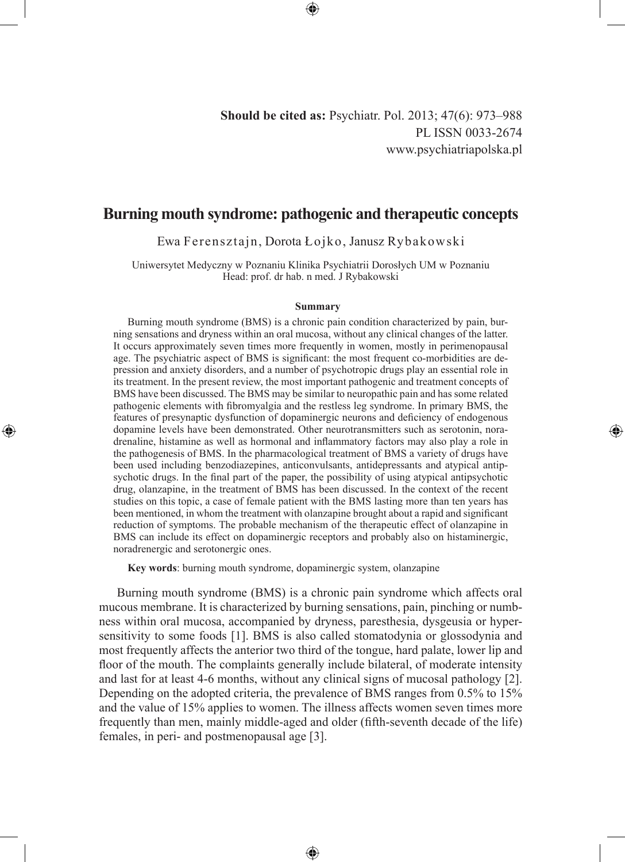◈

# **Burning mouth syndrome: pathogenic and therapeutic concepts**

Ewa Ferensztajn, Dorota Łojko, Janusz Rybakowski

Uniwersytet Medyczny w Poznaniu Klinika Psychiatrii Dorosłych UM w Poznaniu Head: prof. dr hab. n med. J Rybakowski

#### **Summary**

Burning mouth syndrome (BMS) is a chronic pain condition characterized by pain, burning sensations and dryness within an oral mucosa, without any clinical changes of the latter. It occurs approximately seven times more frequently in women, mostly in perimenopausal age. The psychiatric aspect of BMS is significant: the most frequent co-morbidities are depression and anxiety disorders, and a number of psychotropic drugs play an essential role in its treatment. In the present review, the most important pathogenic and treatment concepts of BMS have been discussed. The BMS may be similar to neuropathic pain and has some related pathogenic elements with fibromyalgia and the restless leg syndrome. In primary BMS, the features of presynaptic dysfunction of dopaminergic neurons and deficiency of endogenous dopamine levels have been demonstrated. Other neurotransmitters such as serotonin, noradrenaline, histamine as well as hormonal and inflammatory factors may also play a role in the pathogenesis of BMS. In the pharmacological treatment of BMS a variety of drugs have been used including benzodiazepines, anticonvulsants, antidepressants and atypical antipsychotic drugs. In the final part of the paper, the possibility of using atypical antipsychotic drug, olanzapine, in the treatment of BMS has been discussed. In the context of the recent studies on this topic, a case of female patient with the BMS lasting more than ten years has been mentioned, in whom the treatment with olanzapine brought about a rapid and significant reduction of symptoms. The probable mechanism of the therapeutic effect of olanzapine in BMS can include its effect on dopaminergic receptors and probably also on histaminergic, noradrenergic and serotonergic ones.

**Key words**: burning mouth syndrome, dopaminergic system, olanzapine

◈

Burning mouth syndrome (BMS) is a chronic pain syndrome which affects oral mucous membrane. It is characterized by burning sensations, pain, pinching or numbness within oral mucosa, accompanied by dryness, paresthesia, dysgeusia or hypersensitivity to some foods [1]. BMS is also called stomatodynia or glossodynia and most frequently affects the anterior two third of the tongue, hard palate, lower lip and floor of the mouth. The complaints generally include bilateral, of moderate intensity and last for at least 4-6 months, without any clinical signs of mucosal pathology [2]. Depending on the adopted criteria, the prevalence of BMS ranges from 0.5% to 15% and the value of 15% applies to women. The illness affects women seven times more frequently than men, mainly middle-aged and older (fifth-seventh decade of the life) females, in peri- and postmenopausal age [3].

⊕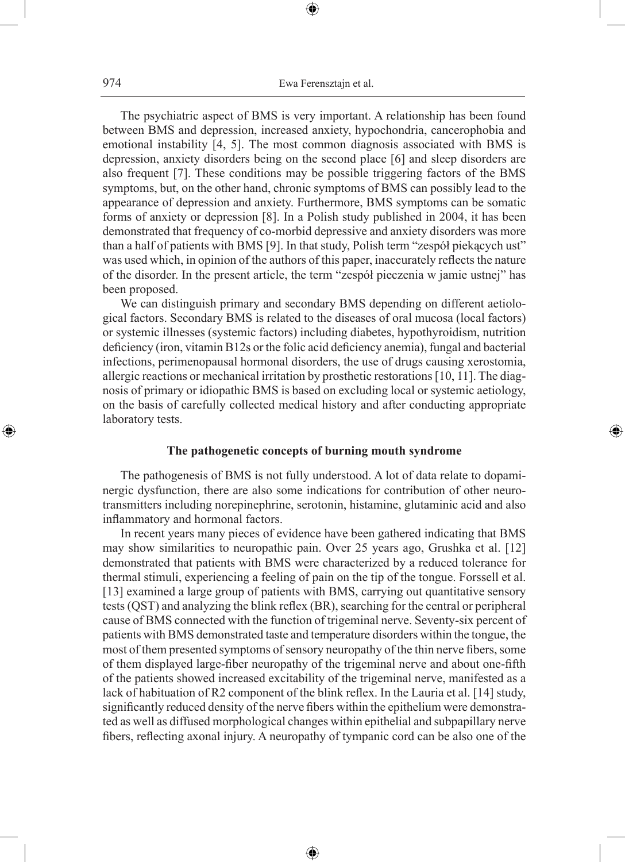The psychiatric aspect of BMS is very important. A relationship has been found between BMS and depression, increased anxiety, hypochondria, cancerophobia and emotional instability [4, 5]. The most common diagnosis associated with BMS is depression, anxiety disorders being on the second place [6] and sleep disorders are also frequent [7]. These conditions may be possible triggering factors of the BMS symptoms, but, on the other hand, chronic symptoms of BMS can possibly lead to the appearance of depression and anxiety. Furthermore, BMS symptoms can be somatic forms of anxiety or depression [8]. In a Polish study published in 2004, it has been demonstrated that frequency of co-morbid depressive and anxiety disorders was more than a half of patients with BMS [9]. In that study, Polish term "zespół piekących ust" was used which, in opinion of the authors of this paper, inaccurately reflects the nature of the disorder. In the present article, the term "zespół pieczenia w jamie ustnej" has been proposed.

We can distinguish primary and secondary BMS depending on different aetiological factors. Secondary BMS is related to the diseases of oral mucosa (local factors) or systemic illnesses (systemic factors) including diabetes, hypothyroidism, nutrition deficiency (iron, vitamin B12s or the folic acid deficiency anemia), fungal and bacterial infections, perimenopausal hormonal disorders, the use of drugs causing xerostomia, allergic reactions or mechanical irritation by prosthetic restorations [10, 11]. The diagnosis of primary or idiopathic BMS is based on excluding local or systemic aetiology, on the basis of carefully collected medical history and after conducting appropriate laboratory tests.

### **The pathogenetic concepts of burning mouth syndrome**

◈

The pathogenesis of BMS is not fully understood. A lot of data relate to dopaminergic dysfunction, there are also some indications for contribution of other neurotransmitters including norepinephrine, serotonin, histamine, glutaminic acid and also inflammatory and hormonal factors.

In recent years many pieces of evidence have been gathered indicating that BMS may show similarities to neuropathic pain. Over 25 years ago, Grushka et al. [12] demonstrated that patients with BMS were characterized by a reduced tolerance for thermal stimuli, experiencing a feeling of pain on the tip of the tongue. Forssell et al. [13] examined a large group of patients with BMS, carrying out quantitative sensory tests (QST) and analyzing the blink reflex (BR), searching for the central or peripheral cause of BMS connected with the function of trigeminal nerve. Seventy-six percent of patients with BMS demonstrated taste and temperature disorders within the tongue, the most of them presented symptoms of sensory neuropathy of the thin nerve fibers, some of them displayed large-fiber neuropathy of the trigeminal nerve and about one-fifth of the patients showed increased excitability of the trigeminal nerve, manifested as a lack of habituation of R2 component of the blink reflex. In the Lauria et al. [14] study, significantly reduced density of the nerve fibers within the epithelium were demonstrated as well as diffused morphological changes within epithelial and subpapillary nerve fibers, reflecting axonal injury. A neuropathy of tympanic cord can be also one of the

⊕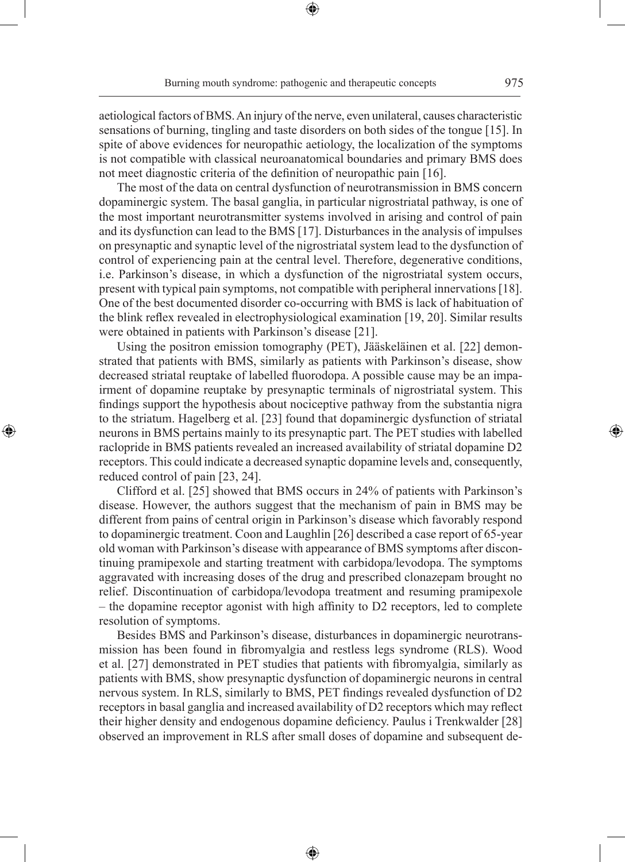aetiological factors of BMS. An injury of the nerve, even unilateral, causes characteristic sensations of burning, tingling and taste disorders on both sides of the tongue [15]. In spite of above evidences for neuropathic aetiology, the localization of the symptoms is not compatible with classical neuroanatomical boundaries and primary BMS does not meet diagnostic criteria of the definition of neuropathic pain [16].

The most of the data on central dysfunction of neurotransmission in BMS concern dopaminergic system. The basal ganglia, in particular nigrostriatal pathway, is one of the most important neurotransmitter systems involved in arising and control of pain and its dysfunction can lead to the BMS [17]. Disturbances in the analysis of impulses on presynaptic and synaptic level of the nigrostriatal system lead to the dysfunction of control of experiencing pain at the central level. Therefore, degenerative conditions, i.e. Parkinson's disease, in which a dysfunction of the nigrostriatal system occurs, present with typical pain symptoms, not compatible with peripheral innervations [18]. One of the best documented disorder co-occurring with BMS is lack of habituation of the blink reflex revealed in electrophysiological examination [19, 20]. Similar results were obtained in patients with Parkinson's disease [21].

Using the positron emission tomography (PET), Jääskeläinen et al. [22] demonstrated that patients with BMS, similarly as patients with Parkinson's disease, show decreased striatal reuptake of labelled fluorodopa. A possible cause may be an impairment of dopamine reuptake by presynaptic terminals of nigrostriatal system. This findings support the hypothesis about nociceptive pathway from the substantia nigra to the striatum. Hagelberg et al. [23] found that dopaminergic dysfunction of striatal neurons in BMS pertains mainly to its presynaptic part. The PET studies with labelled raclopride in BMS patients revealed an increased availability of striatal dopamine D2 receptors. This could indicate a decreased synaptic dopamine levels and, consequently, reduced control of pain [23, 24].

◈

Clifford et al. [25] showed that BMS occurs in 24% of patients with Parkinson's disease. However, the authors suggest that the mechanism of pain in BMS may be different from pains of central origin in Parkinson's disease which favorably respond to dopaminergic treatment. Coon and Laughlin [26] described a case report of 65-year old woman with Parkinson's disease with appearance of BMS symptoms after discontinuing pramipexole and starting treatment with carbidopa/levodopa. The symptoms aggravated with increasing doses of the drug and prescribed clonazepam brought no relief. Discontinuation of carbidopa/levodopa treatment and resuming pramipexole – the dopamine receptor agonist with high affinity to D2 receptors, led to complete resolution of symptoms.

Besides BMS and Parkinson's disease, disturbances in dopaminergic neurotransmission has been found in fibromyalgia and restless legs syndrome (RLS). Wood et al. [27] demonstrated in PET studies that patients with fibromyalgia, similarly as patients with BMS, show presynaptic dysfunction of dopaminergic neurons in central nervous system. In RLS, similarly to BMS, PET findings revealed dysfunction of D2 receptors in basal ganglia and increased availability of D2 receptors which may reflect their higher density and endogenous dopamine deficiency. Paulus i Trenkwalder [28] observed an improvement in RLS after small doses of dopamine and subsequent de-

⊕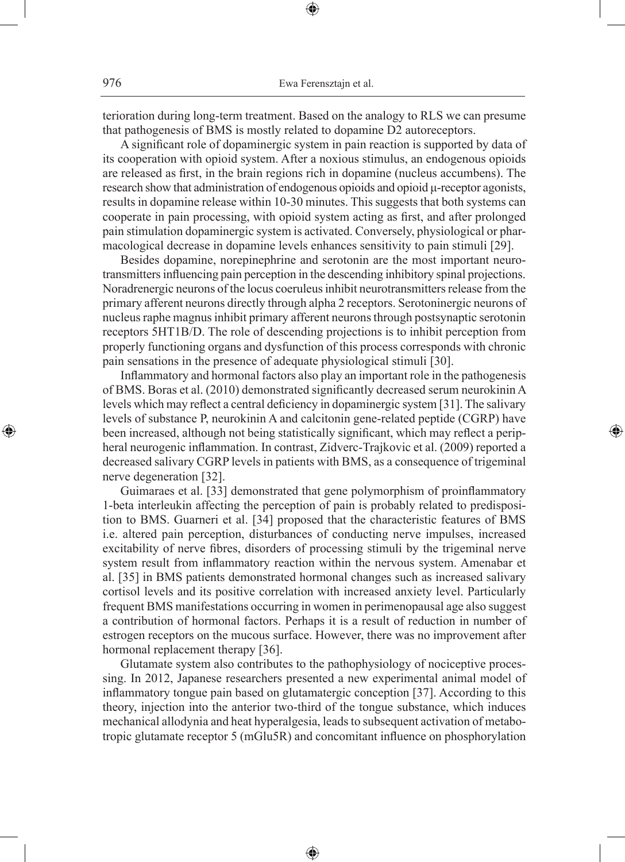terioration during long-term treatment. Based on the analogy to RLS we can presume that pathogenesis of BMS is mostly related to dopamine D2 autoreceptors.

⊕

A significant role of dopaminergic system in pain reaction is supported by data of its cooperation with opioid system. After a noxious stimulus, an endogenous opioids are released as first, in the brain regions rich in dopamine (nucleus accumbens). The research show that administration of endogenous opioids and opioid μ-receptor agonists, results in dopamine release within 10-30 minutes. This suggests that both systems can cooperate in pain processing, with opioid system acting as first, and after prolonged pain stimulation dopaminergic system is activated. Conversely, physiological or pharmacological decrease in dopamine levels enhances sensitivity to pain stimuli [29].

Besides dopamine, norepinephrine and serotonin are the most important neurotransmitters influencing pain perception in the descending inhibitory spinal projections. Noradrenergic neurons of the locus coeruleus inhibit neurotransmitters release from the primary afferent neurons directly through alpha 2 receptors. Serotoninergic neurons of nucleus raphe magnus inhibit primary afferent neurons through postsynaptic serotonin receptors 5HT1B/D. The role of descending projections is to inhibit perception from properly functioning organs and dysfunction of this process corresponds with chronic pain sensations in the presence of adequate physiological stimuli [30].

Inflammatory and hormonal factors also play an important role in the pathogenesis of BMS. Boras et al. (2010) demonstrated significantly decreased serum neurokinin A levels which may reflect a central deficiency in dopaminergic system [31]. The salivary levels of substance P, neurokinin A and calcitonin gene-related peptide (CGRP) have been increased, although not being statistically significant, which may reflect a peripheral neurogenic inflammation. In contrast, Zidverc-Trajkovic et al. (2009) reported a decreased salivary CGRP levels in patients with BMS, as a consequence of trigeminal nerve degeneration [32].

◈

Guimaraes et al. [33] demonstrated that gene polymorphism of proinflammatory 1-beta interleukin affecting the perception of pain is probably related to predisposition to BMS. Guarneri et al. [34] proposed that the characteristic features of BMS i.e. altered pain perception, disturbances of conducting nerve impulses, increased excitability of nerve fibres, disorders of processing stimuli by the trigeminal nerve system result from inflammatory reaction within the nervous system. Amenabar et al. [35] in BMS patients demonstrated hormonal changes such as increased salivary cortisol levels and its positive correlation with increased anxiety level. Particularly frequent BMS manifestations occurring in women in perimenopausal age also suggest a contribution of hormonal factors. Perhaps it is a result of reduction in number of estrogen receptors on the mucous surface. However, there was no improvement after hormonal replacement therapy [36].

Glutamate system also contributes to the pathophysiology of nociceptive processing. In 2012, Japanese researchers presented a new experimental animal model of inflammatory tongue pain based on glutamatergic conception [37]. According to this theory, injection into the anterior two-third of the tongue substance, which induces mechanical allodynia and heat hyperalgesia, leads to subsequent activation of metabotropic glutamate receptor 5 (mGlu5R) and concomitant influence on phosphorylation

⊕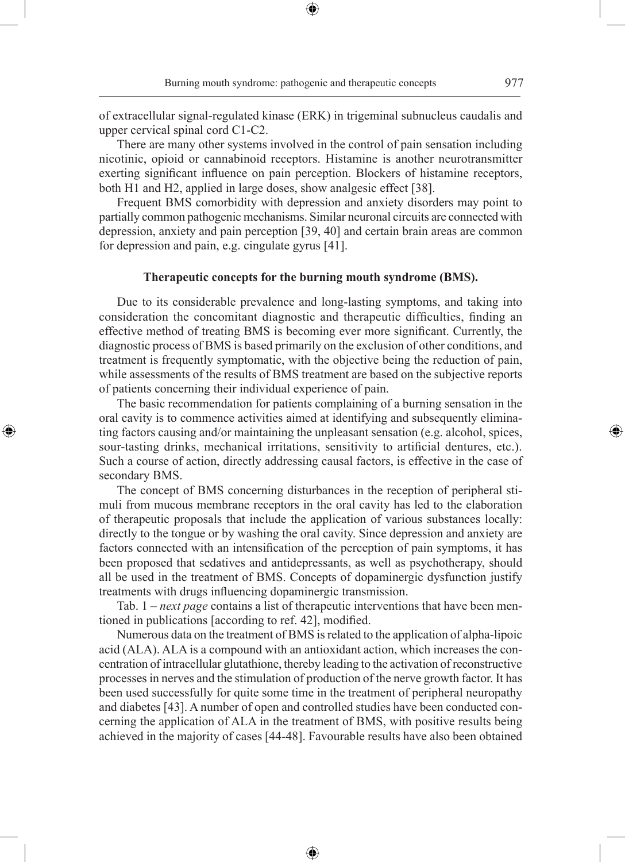◈

of extracellular signal-regulated kinase (ERK) in trigeminal subnucleus caudalis and upper cervical spinal cord C1-C2.

⊕

There are many other systems involved in the control of pain sensation including nicotinic, opioid or cannabinoid receptors. Histamine is another neurotransmitter exerting significant influence on pain perception. Blockers of histamine receptors, both H1 and H2, applied in large doses, show analgesic effect [38].

Frequent BMS comorbidity with depression and anxiety disorders may point to partially common pathogenic mechanisms. Similar neuronal circuits are connected with depression, anxiety and pain perception [39, 40] and certain brain areas are common for depression and pain, e.g. cingulate gyrus [41].

# **Therapeutic concepts for the burning mouth syndrome (BMS).**

Due to its considerable prevalence and long-lasting symptoms, and taking into consideration the concomitant diagnostic and therapeutic difficulties, finding an effective method of treating BMS is becoming ever more significant. Currently, the diagnostic process of BMS is based primarily on the exclusion of other conditions, and treatment is frequently symptomatic, with the objective being the reduction of pain, while assessments of the results of BMS treatment are based on the subjective reports of patients concerning their individual experience of pain.

The basic recommendation for patients complaining of a burning sensation in the oral cavity is to commence activities aimed at identifying and subsequently eliminating factors causing and/or maintaining the unpleasant sensation (e.g. alcohol, spices, sour-tasting drinks, mechanical irritations, sensitivity to artificial dentures, etc.). Such a course of action, directly addressing causal factors, is effective in the case of secondary BMS.

◈

The concept of BMS concerning disturbances in the reception of peripheral stimuli from mucous membrane receptors in the oral cavity has led to the elaboration of therapeutic proposals that include the application of various substances locally: directly to the tongue or by washing the oral cavity. Since depression and anxiety are factors connected with an intensification of the perception of pain symptoms, it has been proposed that sedatives and antidepressants, as well as psychotherapy, should all be used in the treatment of BMS. Concepts of dopaminergic dysfunction justify treatments with drugs influencing dopaminergic transmission.

Tab. 1 – *next page* contains a list of therapeutic interventions that have been mentioned in publications [according to ref. 42], modified.

Numerous data on the treatment of BMS is related to the application of alpha-lipoic acid (ALA). ALA is a compound with an antioxidant action, which increases the concentration of intracellular glutathione, thereby leading to the activation of reconstructive processes in nerves and the stimulation of production of the nerve growth factor. It has been used successfully for quite some time in the treatment of peripheral neuropathy and diabetes [43]. A number of open and controlled studies have been conducted concerning the application of ALA in the treatment of BMS, with positive results being achieved in the majority of cases [44-48]. Favourable results have also been obtained

⊕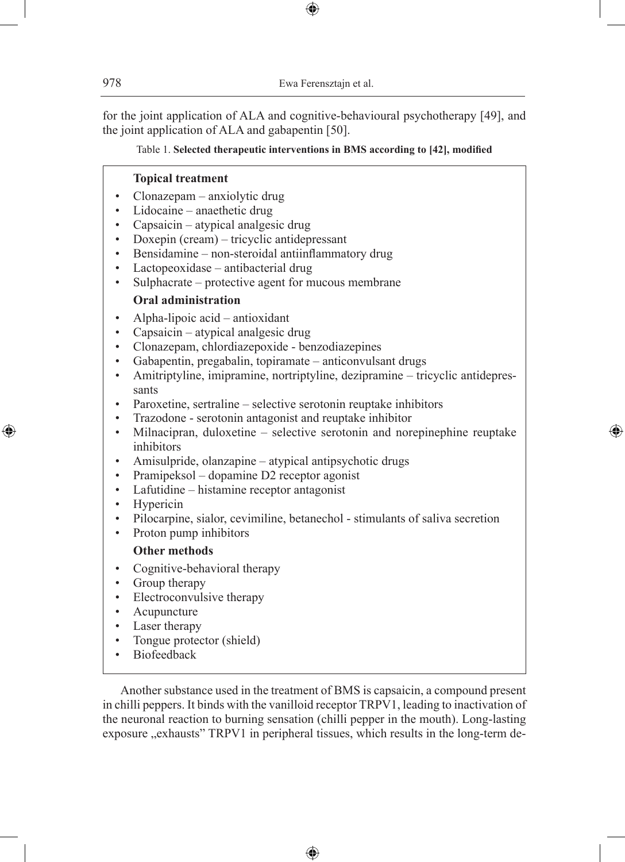for the joint application of ALA and cognitive-behavioural psychotherapy [49], and the joint application of ALA and gabapentin [50].

⊕

# Table 1. **Selected therapeutic interventions in BMS according to [42], modified**

### **Topical treatment**

- Clonazepam anxiolytic drug
- Lidocaine anaethetic drug
- Capsaicin atypical analgesic drug
- Doxepin (cream) tricyclic antidepressant
- Bensidamine non-steroidal antiinflammatory drug
- Lactopeoxidase antibacterial drug
- Sulphacrate protective agent for mucous membrane

# **Oral administration**

- Alpha-lipoic acid antioxidant
- Capsaicin atypical analgesic drug
- Clonazepam, chlordiazepoxide benzodiazepines
- Gabapentin, pregabalin, topiramate anticonvulsant drugs
- Amitriptyline, imipramine, nortriptyline, dezipramine tricyclic antidepressants
- Paroxetine, sertraline selective serotonin reuptake inhibitors
- Trazodone serotonin antagonist and reuptake inhibitor
- Milnacipran, duloxetine selective serotonin and norepinephine reuptake inhibitors

⊕

- Amisulpride, olanzapine atypical antipsychotic drugs
- Pramipeksol dopamine D2 receptor agonist
- Lafutidine histamine receptor antagonist
- **Hypericin**

◈

- Pilocarpine, sialor, cevimiline, betanechol stimulants of saliva secretion
- Proton pump inhibitors

### **Other methods**

- Cognitive-behavioral therapy
- Group therapy
- Electroconvulsive therapy
- Acupuncture
- Laser therapy
- Tongue protector (shield)
- **Biofeedback**

Another substance used in the treatment of BMS is capsaicin, a compound present in chilli peppers. It binds with the vanilloid receptor TRPV1, leading to inactivation of the neuronal reaction to burning sensation (chilli pepper in the mouth). Long-lasting exposure "exhausts" TRPV1 in peripheral tissues, which results in the long-term de-

♠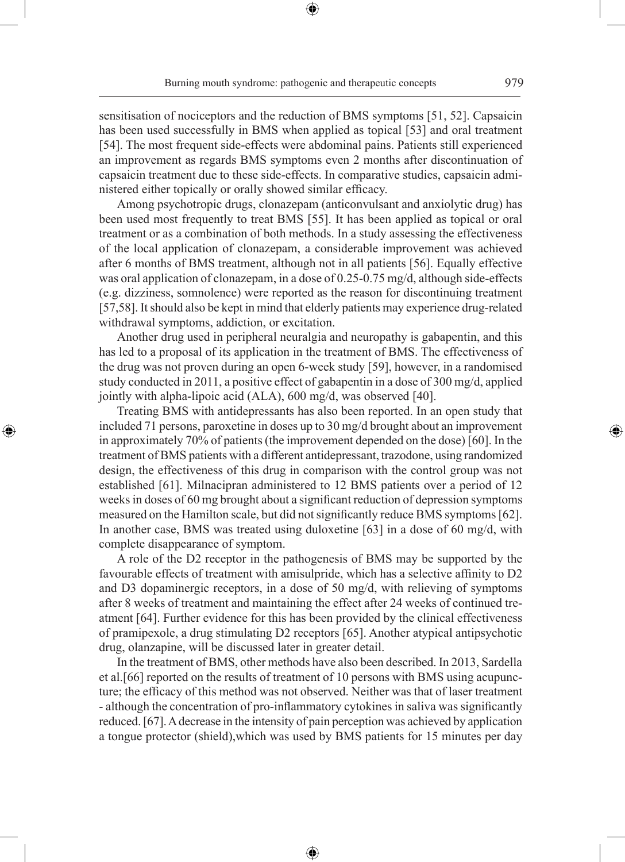sensitisation of nociceptors and the reduction of BMS symptoms [51, 52]. Capsaicin has been used successfully in BMS when applied as topical [53] and oral treatment [54]. The most frequent side-effects were abdominal pains. Patients still experienced an improvement as regards BMS symptoms even 2 months after discontinuation of capsaicin treatment due to these side-effects. In comparative studies, capsaicin administered either topically or orally showed similar efficacy.

Among psychotropic drugs, clonazepam (anticonvulsant and anxiolytic drug) has been used most frequently to treat BMS [55]. It has been applied as topical or oral treatment or as a combination of both methods. In a study assessing the effectiveness of the local application of clonazepam, a considerable improvement was achieved after 6 months of BMS treatment, although not in all patients [56]. Equally effective was oral application of clonazepam, in a dose of 0.25-0.75 mg/d, although side-effects (e.g. dizziness, somnolence) were reported as the reason for discontinuing treatment [57,58]. It should also be kept in mind that elderly patients may experience drug-related withdrawal symptoms, addiction, or excitation.

Another drug used in peripheral neuralgia and neuropathy is gabapentin, and this has led to a proposal of its application in the treatment of BMS. The effectiveness of the drug was not proven during an open 6-week study [59], however, in a randomised study conducted in 2011, a positive effect of gabapentin in a dose of 300 mg/d, applied jointly with alpha-lipoic acid (ALA), 600 mg/d, was observed [40].

Treating BMS with antidepressants has also been reported. In an open study that included 71 persons, paroxetine in doses up to 30 mg/d brought about an improvement in approximately 70% of patients (the improvement depended on the dose) [60]. In the treatment of BMS patients with a different antidepressant, trazodone, using randomized design, the effectiveness of this drug in comparison with the control group was not established [61]. Milnacipran administered to 12 BMS patients over a period of 12 weeks in doses of 60 mg brought about a significant reduction of depression symptoms measured on the Hamilton scale, but did not significantly reduce BMS symptoms [62]. In another case, BMS was treated using duloxetine [63] in a dose of 60 mg/d, with complete disappearance of symptom.

◈

A role of the D2 receptor in the pathogenesis of BMS may be supported by the favourable effects of treatment with amisulpride, which has a selective affinity to D2 and D3 dopaminergic receptors, in a dose of 50 mg/d, with relieving of symptoms after 8 weeks of treatment and maintaining the effect after 24 weeks of continued treatment [64]. Further evidence for this has been provided by the clinical effectiveness of pramipexole, a drug stimulating D2 receptors [65]. Another atypical antipsychotic drug, olanzapine, will be discussed later in greater detail.

In the treatment of BMS, other methods have also been described. In 2013, Sardella et al.[66] reported on the results of treatment of 10 persons with BMS using acupuncture; the efficacy of this method was not observed. Neither was that of laser treatment - although the concentration of pro-inflammatory cytokines in saliva was significantly reduced. [67]. A decrease in the intensity of pain perception was achieved by application a tongue protector (shield),which was used by BMS patients for 15 minutes per day

⊕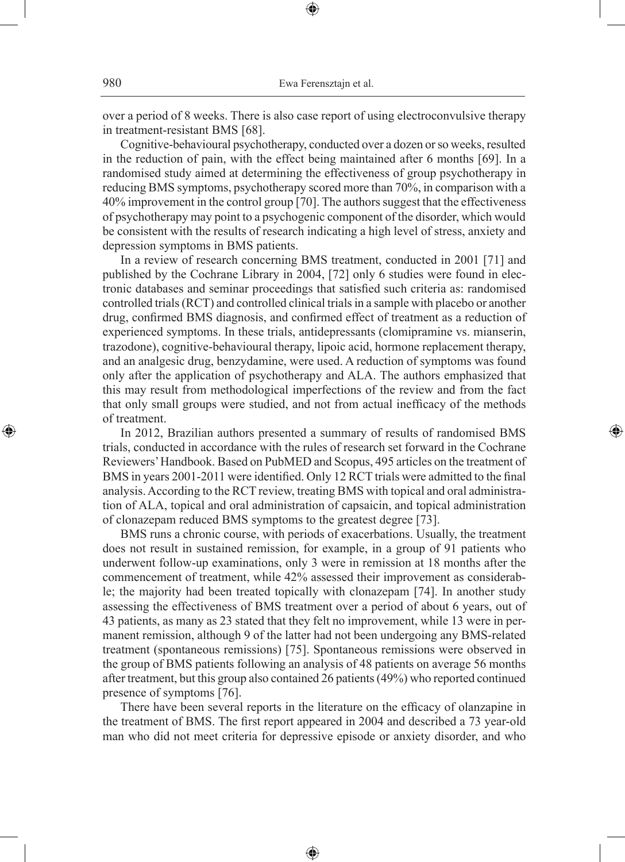over a period of 8 weeks. There is also case report of using electroconvulsive therapy in treatment-resistant BMS [68].

⊕

Cognitive-behavioural psychotherapy, conducted over a dozen or so weeks, resulted in the reduction of pain, with the effect being maintained after 6 months [69]. In a randomised study aimed at determining the effectiveness of group psychotherapy in reducing BMS symptoms, psychotherapy scored more than 70%, in comparison with a 40% improvement in the control group [70]. The authors suggest that the effectiveness of psychotherapy may point to a psychogenic component of the disorder, which would be consistent with the results of research indicating a high level of stress, anxiety and depression symptoms in BMS patients.

In a review of research concerning BMS treatment, conducted in 2001 [71] and published by the Cochrane Library in 2004, [72] only 6 studies were found in electronic databases and seminar proceedings that satisfied such criteria as: randomised controlled trials (RCT) and controlled clinical trials in a sample with placebo or another drug, confirmed BMS diagnosis, and confirmed effect of treatment as a reduction of experienced symptoms. In these trials, antidepressants (clomipramine vs. mianserin, trazodone), cognitive-behavioural therapy, lipoic acid, hormone replacement therapy, and an analgesic drug, benzydamine, were used. A reduction of symptoms was found only after the application of psychotherapy and ALA. The authors emphasized that this may result from methodological imperfections of the review and from the fact that only small groups were studied, and not from actual inefficacy of the methods of treatment.

In 2012, Brazilian authors presented a summary of results of randomised BMS trials, conducted in accordance with the rules of research set forward in the Cochrane Reviewers' Handbook. Based on PubMED and Scopus, 495 articles on the treatment of BMS in years 2001-2011 were identified. Only 12 RCT trials were admitted to the final analysis. According to the RCT review, treating BMS with topical and oral administration of ALA, topical and oral administration of capsaicin, and topical administration of clonazepam reduced BMS symptoms to the greatest degree [73].

⊕

BMS runs a chronic course, with periods of exacerbations. Usually, the treatment does not result in sustained remission, for example, in a group of 91 patients who underwent follow-up examinations, only 3 were in remission at 18 months after the commencement of treatment, while 42% assessed their improvement as considerable; the majority had been treated topically with clonazepam [74]. In another study assessing the effectiveness of BMS treatment over a period of about 6 years, out of 43 patients, as many as 23 stated that they felt no improvement, while 13 were in permanent remission, although 9 of the latter had not been undergoing any BMS-related treatment (spontaneous remissions) [75]. Spontaneous remissions were observed in the group of BMS patients following an analysis of 48 patients on average 56 months after treatment, but this group also contained 26 patients (49%) who reported continued presence of symptoms [76].

There have been several reports in the literature on the efficacy of olanzapine in the treatment of BMS. The first report appeared in 2004 and described a 73 year-old man who did not meet criteria for depressive episode or anxiety disorder, and who

⊕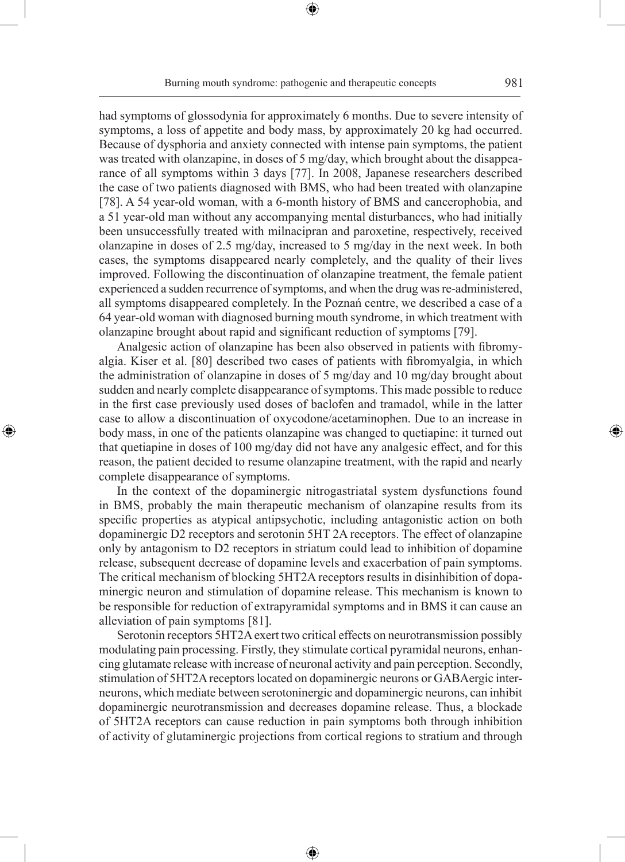Burning mouth syndrome: pathogenic and therapeutic concepts 981

⊕

had symptoms of glossodynia for approximately 6 months. Due to severe intensity of symptoms, a loss of appetite and body mass, by approximately 20 kg had occurred. Because of dysphoria and anxiety connected with intense pain symptoms, the patient was treated with olanzapine, in doses of 5 mg/day, which brought about the disappearance of all symptoms within 3 days [77]. In 2008, Japanese researchers described the case of two patients diagnosed with BMS, who had been treated with olanzapine [78]. A 54 year-old woman, with a 6-month history of BMS and cancerophobia, and a 51 year-old man without any accompanying mental disturbances, who had initially been unsuccessfully treated with milnacipran and paroxetine, respectively, received olanzapine in doses of 2.5 mg/day, increased to 5 mg/day in the next week. In both cases, the symptoms disappeared nearly completely, and the quality of their lives improved. Following the discontinuation of olanzapine treatment, the female patient experienced a sudden recurrence of symptoms, and when the drug was re-administered, all symptoms disappeared completely. In the Poznań centre, we described a case of a 64 year-old woman with diagnosed burning mouth syndrome, in which treatment with olanzapine brought about rapid and significant reduction of symptoms [79].

Analgesic action of olanzapine has been also observed in patients with fibromyalgia. Kiser et al. [80] described two cases of patients with fibromyalgia, in which the administration of olanzapine in doses of 5 mg/day and 10 mg/day brought about sudden and nearly complete disappearance of symptoms. This made possible to reduce in the first case previously used doses of baclofen and tramadol, while in the latter case to allow a discontinuation of oxycodone/acetaminophen. Due to an increase in body mass, in one of the patients olanzapine was changed to quetiapine: it turned out that quetiapine in doses of 100 mg/day did not have any analgesic effect, and for this reason, the patient decided to resume olanzapine treatment, with the rapid and nearly complete disappearance of symptoms.

◈

In the context of the dopaminergic nitrogastriatal system dysfunctions found in BMS, probably the main therapeutic mechanism of olanzapine results from its specific properties as atypical antipsychotic, including antagonistic action on both dopaminergic D2 receptors and serotonin 5HT 2A receptors. The effect of olanzapine only by antagonism to D2 receptors in striatum could lead to inhibition of dopamine release, subsequent decrease of dopamine levels and exacerbation of pain symptoms. The critical mechanism of blocking 5HT2A receptors results in disinhibition of dopaminergic neuron and stimulation of dopamine release. This mechanism is known to be responsible for reduction of extrapyramidal symptoms and in BMS it can cause an alleviation of pain symptoms [81].

Serotonin receptors 5HT2A exert two critical effects on neurotransmission possibly modulating pain processing. Firstly, they stimulate cortical pyramidal neurons, enhancing glutamate release with increase of neuronal activity and pain perception. Secondly, stimulation of 5HT2A receptors located on dopaminergic neurons or GABAergic interneurons, which mediate between serotoninergic and dopaminergic neurons, can inhibit dopaminergic neurotransmission and decreases dopamine release. Thus, a blockade of 5HT2A receptors can cause reduction in pain symptoms both through inhibition of activity of glutaminergic projections from cortical regions to stratium and through

⊕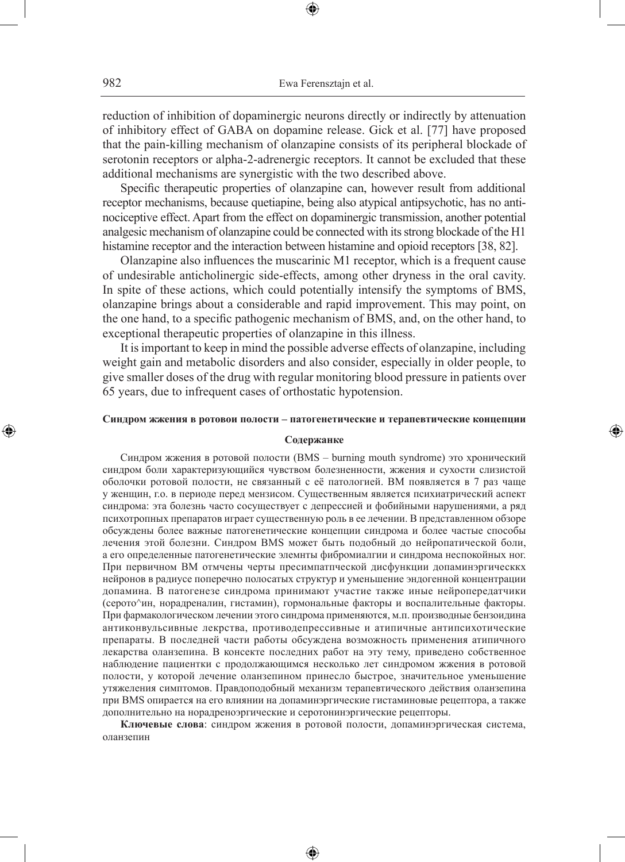reduction of inhibition of dopaminergic neurons directly or indirectly by attenuation of inhibitory effect of GABA on dopamine release. Gick et al. [77] have proposed that the pain-killing mechanism of olanzapine consists of its peripheral blockade of serotonin receptors or alpha-2-adrenergic receptors. It cannot be excluded that these additional mechanisms are synergistic with the two described above.

Specific therapeutic properties of olanzapine can, however result from additional receptor mechanisms, because quetiapine, being also atypical antipsychotic, has no antinociceptive effect. Apart from the effect on dopaminergic transmission, another potential analgesic mechanism of olanzapine could be connected with its strong blockade of the H1 histamine receptor and the interaction between histamine and opioid receptors [38, 82].

Olanzapine also influences the muscarinic M1 receptor, which is a frequent cause of undesirable anticholinergic side-effects, among other dryness in the oral cavity. In spite of these actions, which could potentially intensify the symptoms of BMS, olanzapine brings about a considerable and rapid improvement. This may point, on the one hand, to a specific pathogenic mechanism of BMS, and, on the other hand, to exceptional therapeutic properties of olanzapine in this illness.

It is important to keep in mind the possible adverse effects of olanzapine, including weight gain and metabolic disorders and also consider, especially in older people, to give smaller doses of the drug with regular monitoring blood pressure in patients over 65 years, due to infrequent cases of orthostatic hypotension.

#### **Синдром жжения в ротовои полости – патогенетические и терапевтические концепции**

◈

#### **Содержанке**

Синдром жжения в ротовой полости (BMS – burning mouth syndrome) это хронический синдром боли характеризующийся чувством болезненности, жжения и сухости слизистой оболочки ротовой полости, не связанный с её патологией. BM появляется в 7 раз чаще у женщин, г.о. в периоде перед мензисом. Существенным является психиатрический аспект синдрома: эта болезнь часто сосуществует с депрессией и фобийными нарушениями, а ряд психотропных препаратов играет существенную роль в ее лечении. В представленном обзоре обсуждены более важные патогенетические концепции синдрома и более частые способы лечения этой болезни. Синдром BMS может быть подобный до нейропатической боли, а его определенные патогенетические элемнты фибромиалгии и синдрома неспокойных ног. При первичном BM отмчены черты пресимпатпческой дисфункции допаминэргическкх нейронов в радиусе поперечно полосатых структур и уменьшение эндогенной концентрации допамина. В патогенезе синдрома принимают участие также иные нейропередатчики (серото^ин, норадреналин, гистамин), гормональные факторы и воспалительные факторы. При фармакологическом лечении этого синдрома применяются, м.п. производные бензоидина антиконвульсивные лекрства, противодепрессивные и атипичные антипсихотические препараты. В последней части работы обсуждена возможность применения атипичного лекарства оланзепина. В консекте последних работ на эту тему, приведено собственное наблюдение пациентки с продолжающимся несколько лет синдромом жжения в ротовой полости, у которой лечение оланзепином принесло быстрое, значительное уменьшение утяжеления симптомов. Правдоподобный механизм терапевтического действия оланзепина при ВМS опирается на его влиянии на допаминэргические гистаминовые рецептора, а также дополнительно на норадреноэргические и серотонинэргические рецепторы.

**Ключевые слова**: синдром жжения в ротовой полости, допаминэргическая система, оланзепин

♠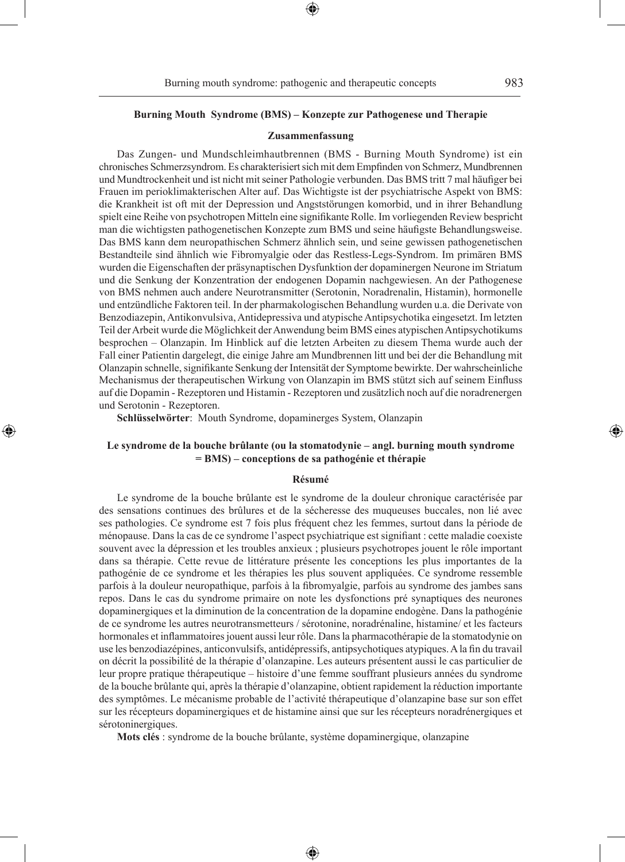◈

#### **Burning Mouth Syndrome (BMS) – Konzepte zur Pathogenese und Therapie**

#### **Zusammenfassung**

Das Zungen- und Mundschleimhautbrennen (BMS - Burning Mouth Syndrome) ist ein chronisches Schmerzsyndrom. Es charakterisiert sich mit dem Empfinden von Schmerz, Mundbrennen und Mundtrockenheit und ist nicht mit seiner Pathologie verbunden. Das BMS tritt 7 mal häufiger bei Frauen im perioklimakterischen Alter auf. Das Wichtigste ist der psychiatrische Aspekt von BMS: die Krankheit ist oft mit der Depression und Angststörungen komorbid, und in ihrer Behandlung spielt eine Reihe von psychotropen Mitteln eine signifikante Rolle. Im vorliegenden Review bespricht man die wichtigsten pathogenetischen Konzepte zum BMS und seine häufigste Behandlungsweise. Das BMS kann dem neuropathischen Schmerz ähnlich sein, und seine gewissen pathogenetischen Bestandteile sind ähnlich wie Fibromyalgie oder das Restless-Legs-Syndrom. Im primären BMS wurden die Eigenschaften der präsynaptischen Dysfunktion der dopaminergen Neurone im Striatum und die Senkung der Konzentration der endogenen Dopamin nachgewiesen. An der Pathogenese von BMS nehmen auch andere Neurotransmitter (Serotonin, Noradrenalin, Histamin), hormonelle und entzündliche Faktoren teil. In der pharmakologischen Behandlung wurden u.a. die Derivate von Benzodiazepin, Antikonvulsiva, Antidepressiva und atypische Antipsychotika eingesetzt. Im letzten Teil der Arbeit wurde die Möglichkeit der Anwendung beim BMS eines atypischen Antipsychotikums besprochen – Olanzapin. Im Hinblick auf die letzten Arbeiten zu diesem Thema wurde auch der Fall einer Patientin dargelegt, die einige Jahre am Mundbrennen litt und bei der die Behandlung mit Olanzapin schnelle, signifikante Senkung der Intensität der Symptome bewirkte. Der wahrscheinliche Mechanismus der therapeutischen Wirkung von Olanzapin im BMS stützt sich auf seinem Einfluss auf die Dopamin - Rezeptoren und Histamin - Rezeptoren und zusätzlich noch auf die noradrenergen und Serotonin - Rezeptoren.

**Schlüsselwörter**: Mouth Syndrome, dopaminerges System, Olanzapin

◈

### **Le syndrome de la bouche brûlante (ou la stomatodynie – angl. burning mouth syndrome = BMS) – conceptions de sa pathogénie et thérapie**

#### **Résumé**

Le syndrome de la bouche brûlante est le syndrome de la douleur chronique caractérisée par des sensations continues des brûlures et de la sécheresse des muqueuses buccales, non lié avec ses pathologies. Ce syndrome est 7 fois plus fréquent chez les femmes, surtout dans la période de ménopause. Dans la cas de ce syndrome l'aspect psychiatrique est signifiant : cette maladie coexiste souvent avec la dépression et les troubles anxieux ; plusieurs psychotropes jouent le rôle important dans sa thérapie. Cette revue de littérature présente les conceptions les plus importantes de la pathogénie de ce syndrome et les thérapies les plus souvent appliquées. Ce syndrome ressemble parfois à la douleur neuropathique, parfois à la fibromyalgie, parfois au syndrome des jambes sans repos. Dans le cas du syndrome primaire on note les dysfonctions pré synaptiques des neurones dopaminergiques et la diminution de la concentration de la dopamine endogène. Dans la pathogénie de ce syndrome les autres neurotransmetteurs / sérotonine, noradrénaline, histamine/ et les facteurs hormonales et inflammatoires jouent aussi leur rôle. Dans la pharmacothérapie de la stomatodynie on use les benzodiazépines, anticonvulsifs, antidépressifs, antipsychotiques atypiques. A la fin du travail on décrit la possibilité de la thérapie d'olanzapine. Les auteurs présentent aussi le cas particulier de leur propre pratique thérapeutique – histoire d'une femme souffrant plusieurs années du syndrome de la bouche brûlante qui, après la thérapie d'olanzapine, obtient rapidement la réduction importante des symptômes. Le mécanisme probable de l'activité thérapeutique d'olanzapine base sur son effet sur les récepteurs dopaminergiques et de histamine ainsi que sur les récepteurs noradrénergiques et sérotoninergiques.

**Mots clés** : syndrome de la bouche brûlante, système dopaminergique, olanzapine

♠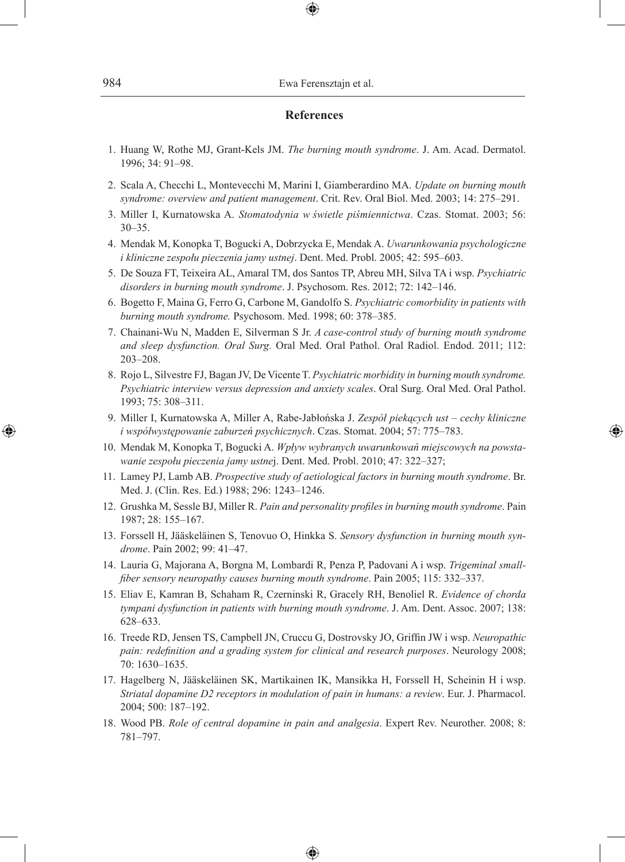# 984 Ewa Ferensztajn et al.

## **References**

⊕

- 1. Huang W, Rothe MJ, Grant-Kels JM. *The burning mouth syndrome*. J. Am. Acad. Dermatol. 1996; 34: 91–98.
- 2. Scala A, Checchi L, Montevecchi M, Marini I, Giamberardino MA. *Update on burning mouth syndrome: overview and patient management*. Crit. Rev. Oral Biol. Med. 2003; 14: 275–291.
- 3. Miller I, Kurnatowska A. *Stomatodynia w świetle piśmiennictwa*. Czas. Stomat. 2003; 56: 30–35.
- 4. Mendak M, Konopka T, Bogucki A, Dobrzycka E, Mendak A. *Uwarunkowania psychologiczne i kliniczne zespołu pieczenia jamy ustnej*. Dent. Med. Probl. 2005; 42: 595–603.
- 5. De Souza FT, Teixeira AL, Amaral TM, dos Santos TP, Abreu MH, Silva TA i wsp. *Psychiatric disorders in burning mouth syndrome*. J. Psychosom. Res. 2012; 72: 142–146.
- 6. Bogetto F, Maina G, Ferro G, Carbone M, Gandolfo S. *Psychiatric comorbidity in patients with burning mouth syndrome.* Psychosom. Med. 1998; 60: 378–385.
- 7. Chainani-Wu N, Madden E, Silverman S Jr. *A case-control study of burning mouth syndrome and sleep dysfunction. Oral Surg.* Oral Med. Oral Pathol. Oral Radiol. Endod. 2011; 112: 203–208.
- 8. Rojo L, Silvestre FJ, Bagan JV, De Vicente T. *Psychiatric morbidity in burning mouth syndrome. Psychiatric interview versus depression and anxiety scales*. Oral Surg. Oral Med. Oral Pathol. 1993; 75: 308–311.
- 9. Miller I, Kurnatowska A, Miller A, Rabe-Jabłońska J. *Zespół piekących ust cechy kliniczne i współwystępowanie zaburzeń psychicznych*. Czas. Stomat. 2004; 57: 775–783.

◈

- 10. Mendak M, Konopka T, Bogucki A. *Wpływ wybranych uwarunkowań miejscowych na powstawanie zespołu pieczenia jamy ustne*j. Dent. Med. Probl. 2010; 47: 322–327;
- 11. Lamey PJ, Lamb AB. *Prospective study of aetiological factors in burning mouth syndrome*. Br. Med. J. (Clin. Res. Ed.) 1988; 296: 1243–1246.
- 12. Grushka M, Sessle BJ, Miller R. *Pain and personality profiles in burning mouth syndrome*. Pain 1987; 28: 155–167.
- 13. Forssell H, Jääskeläinen S, Tenovuo O, Hinkka S. *Sensory dysfunction in burning mouth syndrome*. Pain 2002; 99: 41–47.
- 14. Lauria G, Majorana A, Borgna M, Lombardi R, Penza P, Padovani A i wsp. *Trigeminal smallfiber sensory neuropathy causes burning mouth syndrome*. Pain 2005; 115: 332–337.
- 15. Eliav E, Kamran B, Schaham R, Czerninski R, Gracely RH, Benoliel R. *Evidence of chorda tympani dysfunction in patients with burning mouth syndrome*. J. Am. Dent. Assoc. 2007; 138: 628–633.
- 16. Treede RD, Jensen TS, Campbell JN, Cruccu G, Dostrovsky JO, Griffin JW i wsp. *Neuropathic pain: redefinition and a grading system for clinical and research purposes*. Neurology 2008; 70: 1630–1635.
- 17. Hagelberg N, Jääskeläinen SK, Martikainen IK, Mansikka H, Forssell H, Scheinin H i wsp. *Striatal dopamine D2 receptors in modulation of pain in humans: a review*. Eur. J. Pharmacol. 2004; 500: 187–192.
- 18. Wood PB. *Role of central dopamine in pain and analgesia*. Expert Rev. Neurother. 2008; 8: 781–797.

⊕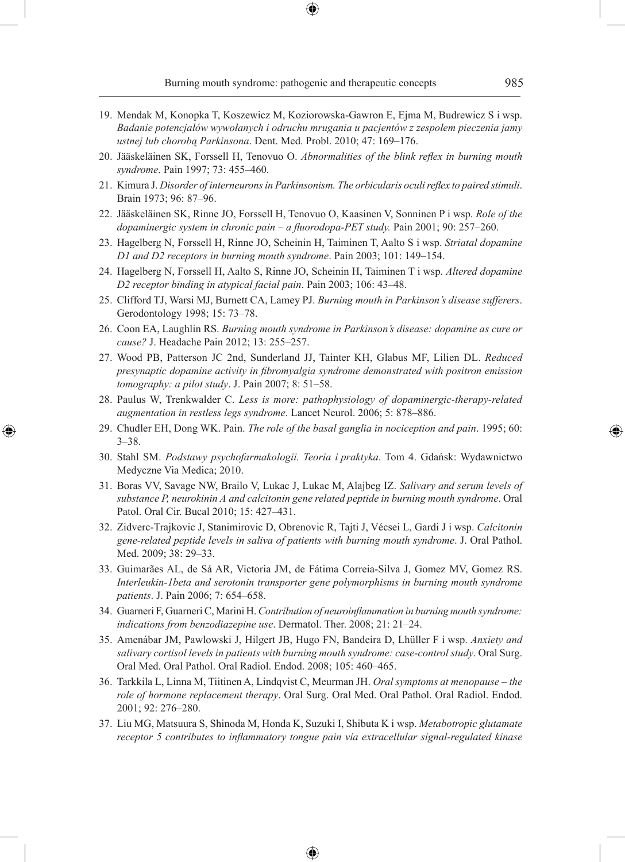Burning mouth syndrome: pathogenic and therapeutic concepts 985

- 19. Mendak M, Konopka T, Koszewicz M, Koziorowska-Gawron E, Ejma M, Budrewicz S i wsp. *Badanie potencjałów wywołanych i odruchu mrugania u pacjentów z zespołem pieczenia jamy ustnej lub chorobą Parkinsona*. Dent. Med. Probl. 2010; 47: 169–176.
- 20. Jääskeläinen SK, Forssell H, Tenovuo O. *Abnormalities of the blink reflex in burning mouth syndrome*. Pain 1997; 73: 455–460.
- 21. Kimura J. *Disorder of interneurons in Parkinsonism. The orbicularis oculi reflex to paired stimuli*. Brain 1973; 96: 87–96.
- 22. Jääskeläinen SK, Rinne JO, Forssell H, Tenovuo O, Kaasinen V, Sonninen P i wsp. *Role of the dopaminergic system in chronic pain – a fluorodopa-PET study.* Pain 2001; 90: 257–260.
- 23. Hagelberg N, Forssell H, Rinne JO, Scheinin H, Taiminen T, Aalto S i wsp. *Striatal dopamine D1 and D2 receptors in burning mouth syndrome*. Pain 2003; 101: 149–154.
- 24. Hagelberg N, Forssell H, Aalto S, Rinne JO, Scheinin H, Taiminen T i wsp. *Altered dopamine D2 receptor binding in atypical facial pain*. Pain 2003; 106: 43–48.
- 25. Clifford TJ, Warsi MJ, Burnett CA, Lamey PJ. *Burning mouth in Parkinson's disease sufferers*. Gerodontology 1998; 15: 73–78.
- 26. Coon EA, Laughlin RS. *Burning mouth syndrome in Parkinson's disease: dopamine as cure or cause?* J. Headache Pain 2012; 13: 255–257.
- 27. Wood PB, Patterson JC 2nd, Sunderland JJ, Tainter KH, Glabus MF, Lilien DL. *Reduced presynaptic dopamine activity in fibromyalgia syndrome demonstrated with positron emission tomography: a pilot study*. J. Pain 2007; 8: 51–58.
- 28. Paulus W, Trenkwalder C. *Less is more: pathophysiology of dopaminergic-therapy-related augmentation in restless legs syndrome*. Lancet Neurol. 2006; 5: 878–886.
- 29. Chudler EH, Dong WK. Pain. *The role of the basal ganglia in nociception and pain*. 1995; 60: 3–38.

⊕

- 30. Stahl SM. *Podstawy psychofarmakologii. Teoria i praktyka*. Tom 4. Gdańsk: Wydawnictwo Medyczne Via Medica; 2010.
- 31. Boras VV, Savage NW, Brailo V, Lukac J, Lukac M, Alajbeg IZ. *Salivary and serum levels of substance P, neurokinin A and calcitonin gene related peptide in burning mouth syndrome*. Oral Patol. Oral Cir. Bucal 2010; 15: 427–431.
- 32. Zidverc-Trajkovic J, Stanimirovic D, Obrenovic R, Tajti J, Vécsei L, Gardi J i wsp. *Calcitonin gene-related peptide levels in saliva of patients with burning mouth syndrome*. J. Oral Pathol. Med. 2009; 38: 29–33.
- 33. Guimarães AL, de Sá AR, Victoria JM, de Fátima Correia-Silva J, Gomez MV, Gomez RS. *Interleukin-1beta and serotonin transporter gene polymorphisms in burning mouth syndrome patients*. J. Pain 2006; 7: 654–658.
- 34. Guarneri F, Guarneri C, Marini H. *Contribution of neuroinflammation in burning mouth syndrome: indications from benzodiazepine use*. Dermatol. Ther. 2008; 21: 21–24.
- 35. Amenábar JM, Pawlowski J, Hilgert JB, Hugo FN, Bandeira D, Lhüller F i wsp. *Anxiety and salivary cortisol levels in patients with burning mouth syndrome: case-control study*. Oral Surg. Oral Med. Oral Pathol. Oral Radiol. Endod. 2008; 105: 460–465.
- 36. Tarkkila L, Linna M, Tiitinen A, Lindqvist C, Meurman JH. *Oral symptoms at menopause the role of hormone replacement therapy*. Oral Surg. Oral Med. Oral Pathol. Oral Radiol. Endod. 2001; 92: 276–280.
- 37. Liu MG, Matsuura S, Shinoda M, Honda K, Suzuki I, Shibuta K i wsp. *Metabotropic glutamate receptor 5 contributes to inflammatory tongue pain via extracellular signal-regulated kinase*

⊕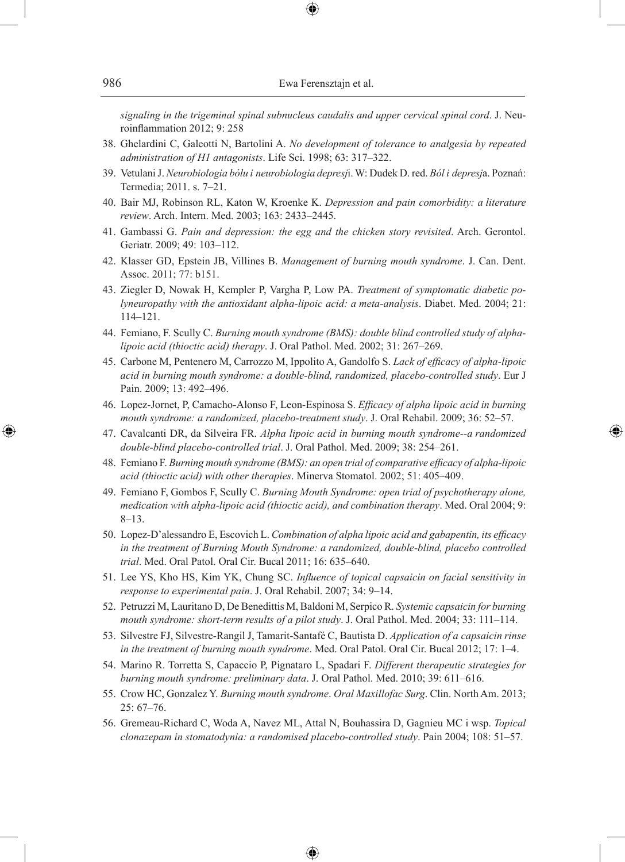*signaling in the trigeminal spinal subnucleus caudalis and upper cervical spinal cord*. J. Neuroinflammation 2012; 9: 258

- 38. Ghelardini C, Galeotti N, Bartolini A. *No development of tolerance to analgesia by repeated administration of H1 antagonists*. Life Sci. 1998; 63: 317–322.
- 39. Vetulani J. *Neurobiologia bólu i neurobiologia depresj*i. W: Dudek D. red. *Ból i depresj*a. Poznań: Termedia; 2011. s. 7–21.
- 40. Bair MJ, Robinson RL, Katon W, Kroenke K. *Depression and pain comorbidity: a literature review*. Arch. Intern. Med. 2003; 163: 2433–2445.
- 41. Gambassi G. *Pain and depression: the egg and the chicken story revisited*. Arch. Gerontol. Geriatr. 2009; 49: 103–112.
- 42. Klasser GD, Epstein JB, Villines B. *Management of burning mouth syndrome*. J. Can. Dent. Assoc. 2011; 77: b151.
- 43. Ziegler D, Nowak H, Kempler P, Vargha P, Low PA. *Treatment of symptomatic diabetic polyneuropathy with the antioxidant alpha-lipoic acid: a meta-analysis*. Diabet. Med. 2004; 21: 114–121.
- 44. Femiano, F. Scully C. *Burning mouth syndrome (BMS): double blind controlled study of alphalipoic acid (thioctic acid) therapy*. J. Oral Pathol. Med. 2002; 31: 267–269.
- 45. Carbone M, Pentenero M, Carrozzo M, Ippolito A, Gandolfo S. *Lack of efficacy of alpha-lipoic acid in burning mouth syndrome: a double-blind, randomized, placebo-controlled study*. Eur J Pain. 2009; 13: 492–496.
- 46. Lopez-Jornet, P, Camacho-Alonso F, Leon-Espinosa S. *Efficacy of alpha lipoic acid in burning mouth syndrome: a randomized, placebo-treatment study*. J. Oral Rehabil. 2009; 36: 52–57.
- 47. Cavalcanti DR, da Silveira FR. *Alpha lipoic acid in burning mouth syndrome--a randomized double-blind placebo-controlled trial*. J. Oral Pathol. Med. 2009; 38: 254–261.

◈

- 48. Femiano F. *Burning mouth syndrome (BMS): an open trial of comparative efficacy of alpha-lipoic acid (thioctic acid) with other therapies*. Minerva Stomatol. 2002; 51: 405–409.
- 49. Femiano F, Gombos F, Scully C. *Burning Mouth Syndrome: open trial of psychotherapy alone, medication with alpha-lipoic acid (thioctic acid), and combination therapy*. Med. Oral 2004; 9: 8–13.
- 50. Lopez-D'alessandro E, Escovich L. *Combination of alpha lipoic acid and gabapentin, its efficacy in the treatment of Burning Mouth Syndrome: a randomized, double-blind, placebo controlled trial*. Med. Oral Patol. Oral Cir. Bucal 2011; 16: 635–640.
- 51. Lee YS, Kho HS, Kim YK, Chung SC. *Influence of topical capsaicin on facial sensitivity in response to experimental pain*. J. Oral Rehabil. 2007; 34: 9–14.
- 52. Petruzzi M, Lauritano D, De Benedittis M, Baldoni M, Serpico R. *Systemic capsaicin for burning mouth syndrome: short-term results of a pilot study*. J. Oral Pathol. Med. 2004; 33: 111–114.
- 53. Silvestre FJ, Silvestre-Rangil J, Tamarit-Santafé C, Bautista D. *Application of a capsaicin rinse in the treatment of burning mouth syndrome*. Med. Oral Patol. Oral Cir. Bucal 2012; 17: 1–4.
- 54. Marino R. Torretta S, Capaccio P, Pignataro L, Spadari F. *Different therapeutic strategies for burning mouth syndrome: preliminary data*. J. Oral Pathol. Med. 2010; 39: 611–616.
- 55. Crow HC, Gonzalez Y. *Burning mouth syndrome*. *Oral Maxillofac Surg*. Clin. North Am. 2013; 25: 67–76.
- 56. Gremeau-Richard C, Woda A, Navez ML, Attal N, Bouhassira D, Gagnieu MC i wsp. *Topical clonazepam in stomatodynia: a randomised placebo-controlled study*. Pain 2004; 108: 51–57.

⊕

⊕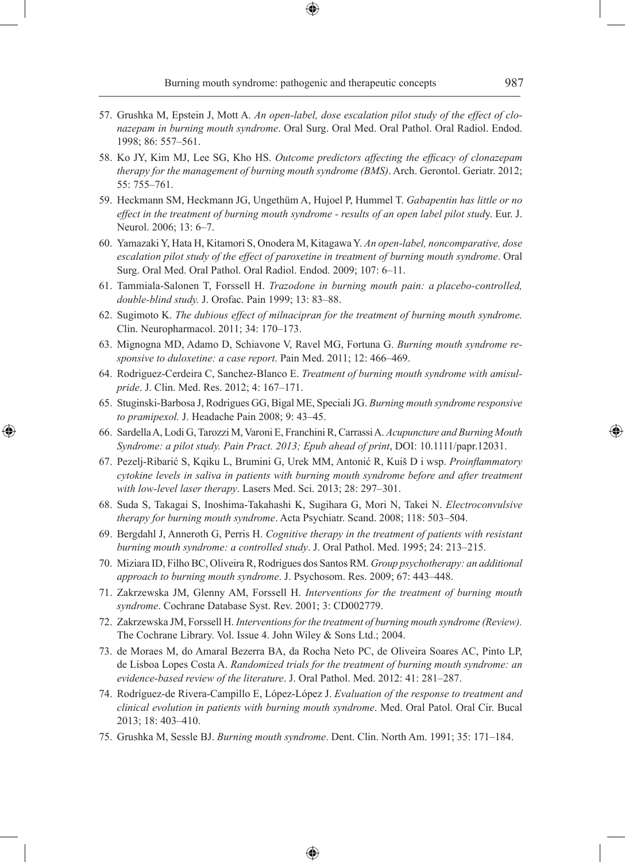Burning mouth syndrome: pathogenic and therapeutic concepts 987

- 57. Grushka M, Epstein J, Mott A. *An open-label, dose escalation pilot study of the effect of clonazepam in burning mouth syndrome*. Oral Surg. Oral Med. Oral Pathol. Oral Radiol. Endod. 1998; 86: 557–561.
- 58. Ko JY, Kim MJ, Lee SG, Kho HS. *Outcome predictors affecting the efficacy of clonazepam therapy for the management of burning mouth syndrome (BMS)*. Arch. Gerontol. Geriatr. 2012; 55: 755–761.
- 59. Heckmann SM, Heckmann JG, Ungethüm A, Hujoel P, Hummel T. *Gabapentin has little or no effect in the treatment of burning mouth syndrome - results of an open label pilot stud*y. Eur. J. Neurol. 2006; 13: 6–7.
- 60. Yamazaki Y, Hata H, Kitamori S, Onodera M, Kitagawa Y. *An open-label, noncomparative, dose escalation pilot study of the effect of paroxetine in treatment of burning mouth syndrome*. Oral Surg. Oral Med. Oral Pathol. Oral Radiol. Endod. 2009; 107: 6–11.
- 61. Tammiala-Salonen T, Forssell H. *Trazodone in burning mouth pain: a placebo-controlled, double-blind study.* J. Orofac. Pain 1999; 13: 83–88.
- 62. Sugimoto K. *The dubious effect of milnacipran for the treatment of burning mouth syndrome.*  Clin. Neuropharmacol. 2011; 34: 170–173.
- 63. Mignogna MD, Adamo D, Schiavone V, Ravel MG, Fortuna G. *Burning mouth syndrome responsive to duloxetine: a case report*. Pain Med. 2011; 12: 466–469.
- 64. Rodriguez-Cerdeira C, Sanchez-Blanco E. *Treatment of burning mouth syndrome with amisulpride*. J. Clin. Med. Res. 2012; 4: 167–171.
- 65. Stuginski-Barbosa J, Rodrigues GG, Bigal ME, Speciali JG. *Burning mouth syndrome responsive to pramipexol.* J. Headache Pain 2008; 9: 43–45.
- 66. Sardella A, Lodi G, Tarozzi M, Varoni E, Franchini R, Carrassi A. *Acupuncture and Burning Mouth Syndrome: a pilot study. Pain Pract. 2013; Epub ahead of print*, DOI: 10.1111/papr.12031.

⊕

- 67. Pezelj-Ribarić S, Kqiku L, Brumini G, Urek MM, Antonić R, Kuiš D i wsp. *Proinflammatory cytokine levels in saliva in patients with burning mouth syndrome before and after treatment with low-level laser therapy*. Lasers Med. Sci. 2013; 28: 297–301.
- 68. Suda S, Takagai S, Inoshima-Takahashi K, Sugihara G, Mori N, Takei N. *Electroconvulsive therapy for burning mouth syndrome*. Acta Psychiatr. Scand. 2008; 118: 503–504.
- 69. Bergdahl J, Anneroth G, Perris H. *Cognitive therapy in the treatment of patients with resistant burning mouth syndrome: a controlled study*. J. Oral Pathol. Med. 1995; 24: 213–215.
- 70. Miziara ID, Filho BC, Oliveira R, Rodrigues dos Santos RM. *Group psychotherapy: an additional approach to burning mouth syndrome*. J. Psychosom. Res. 2009; 67: 443–448.
- 71. Zakrzewska JM, Glenny AM, Forssell H. *Interventions for the treatment of burning mouth syndrome*. Cochrane Database Syst. Rev. 2001; 3: CD002779.
- 72. Zakrzewska JM, Forssell H. *Interventions for the treatment of burning mouth syndrome (Review).* The Cochrane Library. Vol. Issue 4. John Wiley & Sons Ltd.; 2004.
- 73. de Moraes M, do Amaral Bezerra BA, da Rocha Neto PC, de Oliveira Soares AC, Pinto LP, de Lisboa Lopes Costa A. *Randomized trials for the treatment of burning mouth syndrome: an evidence-based review of the literature*. J. Oral Pathol. Med. 2012: 41: 281–287.
- 74. Rodríguez-de Rivera-Campillo E, López-López J. *Evaluation of the response to treatment and clinical evolution in patients with burning mouth syndrome*. Med. Oral Patol. Oral Cir. Bucal 2013; 18: 403–410.
- 75. Grushka M, Sessle BJ. *Burning mouth syndrome*. Dent. Clin. North Am. 1991; 35: 171–184.

♠